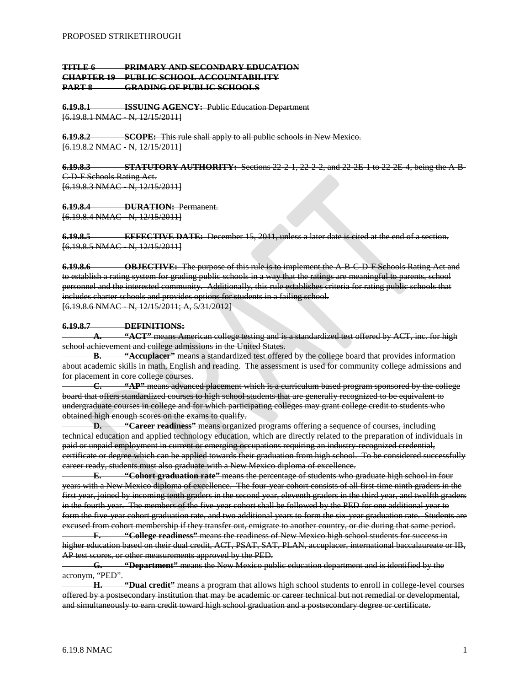# **TITLE 6 PRIMARY AND SECONDARY EDUCATION CHAPTER 19 PUBLIC SCHOOL ACCOUNTABILITY PART 8 GRADING OF PUBLIC SCHOOLS**

**6.19.8.1 ISSUING AGENCY:** Public Education Department [6.19.8.1 NMAC N, 12/15/2011]

**6.19.8.2 SCOPE:** This rule shall apply to all public schools in New Mexico. [6.19.8.2 NMAC - N, 12/15/2011]

**6.19.8.3 STATUTORY AUTHORITY:** Sections 22-2-1, 22-2-2, and 22-2E-1 to 22-2E-4, being the A-B-C-D-F Schools Rating Act. [6.19.8.3 NMAC - N, 12/15/2011]

**6.19.8.4 DURATION:** Permanent. [6.19.8.4 NMAC N, 12/15/2011]

**6.19.8.5 EFFECTIVE DATE:** December 15, 2011, unless a later date is cited at the end of a section. [6.19.8.5 NMAC N, 12/15/2011]

**6.19.8.6 OBJECTIVE:** The purpose of this rule is to implement the A-B-C-D-F Schools Rating Act and to establish a rating system for grading public schools in a way that the ratings are meaningful to parents, school personnel and the interested community. Additionally, this rule establishes criteria for rating public schools that includes charter schools and provides options for students in a failing school. [6.19.8.6 NMAC - N, 12/15/2011; A, 5/31/2012]

## **6.19.8.7 DEFINITIONS:**

**A. "ACT"** means American college testing and is a standardized test offered by ACT, inc. for high school achievement and college admissions in the United States.

**B. "Accuplacer"** means a standardized test offered by the college board that provides information about academic skills in math, English and reading. The assessment is used for community college admissions and for placement in core college courses.

**C. "AP"** means advanced placement which is a curriculum based program sponsored by the college board that offers standardized courses to high school students that are generally recognized to be equivalent to undergraduate courses in college and for which participating colleges may grant college credit to students who obtained high enough scores on the exams to qualify.

**D. "Career readiness"** means organized programs offering a sequence of courses, including technical education and applied technology education, which are directly related to the preparation of individuals in paid or unpaid employment in current or emerging occupations requiring an industry-recognized credential, certificate or degree which can be applied towards their graduation from high school. To be considered successfully career ready, students must also graduate with a New Mexico diploma of excellence.

**E. "Cohort graduation rate"** means the percentage of students who graduate high school in four years with a New Mexico diploma of excellence. The four-year cohort consists of all first-time ninth graders in the first year, joined by incoming tenth graders in the second year, eleventh graders in the third year, and twelfth graders in the fourth year. The members of the five-year cohort shall be followed by the PED for one additional year to form the five-year cohort graduation rate, and two additional years to form the six-year graduation rate. Students are excused from cohort membership if they transfer out, emigrate to another country, or die during that same period.

**F. "College readiness"** means the readiness of New Mexico high school students for success in higher education based on their dual credit, ACT, PSAT, SAT, PLAN, accuplacer, international baccalaureate or IB, AP test scores, or other measurements approved by the PED.

**G. "Department"** means the New Mexico public education department and is identified by the acronym, "PED".

**H. "Dual credit"** means a program that allows high school students to enroll in college-level courses offered by a postsecondary institution that may be academic or career technical but not remedial or developmental, and simultaneously to earn credit toward high school graduation and a postsecondary degree or certificate.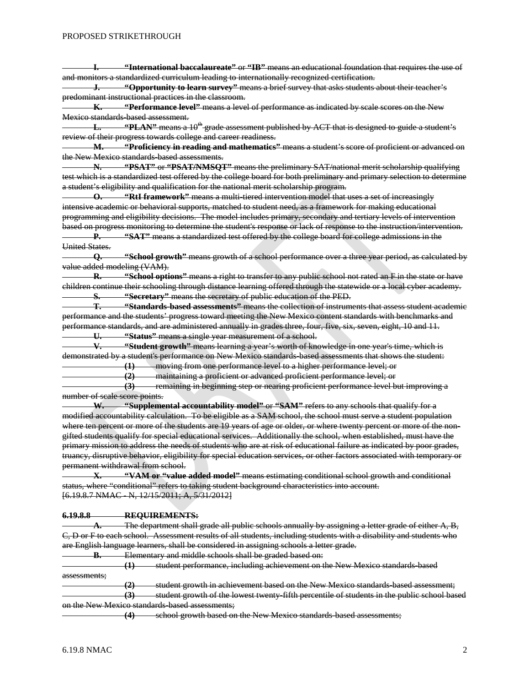**I. "International baccalaureate"** or **"IB"** means an educational foundation that requires the use of and monitors a standardized curriculum leading to internationally recognized certification.

**J. "Opportunity to learn survey"** means a brief survey that asks students about their teacher's predominant instructional practices in the classroom.

**K. "Performance level"** means a level of performance as indicated by scale scores on the New Mexico standards based assessment.

**L. "PLAN"** means a 10<sup>th</sup> grade assessment published by ACT that is designed to guide a student's review of their progress towards college and career readiness.

**M. "Proficiency in reading and mathematics"** means a student's score of proficient or advanced on the New Mexico standards based assessments.

**N. "PSAT"** or **"PSAT/NMSQT"** means the preliminary SAT/national merit scholarship qualifying test which is a standardized test offered by the college board for both preliminary and primary selection to determine a student's eligibility and qualification for the national merit scholarship program.

**O. "RtI framework"** means a multi-tiered intervention model that uses a set of increasingly intensive academic or behavioral supports, matched to student need, as a framework for making educational programming and eligibility decisions. The model includes primary, secondary and tertiary levels of intervention based on progress monitoring to determine the student's response or lack of response to the instruction/intervention. **P. "SAT"** means a standardized test offered by the college board for college admissions in the

United States.

**Q. "School growth"** means growth of a school performance over a three year period, as calculated by value added modeling (VAM).

**R. "School options"** means a right to transfer to any public school not rated an F in the state or have children continue their schooling through distance learning offered through the statewide or a local cyber academy. **S. "Secretary"** means the secretary of public education of the PED.

**T. "Standards-based assessments"** means the collection of instruments that assess student academic performance and the students' progress toward meeting the New Mexico content standards with benchmarks and performance standards, and are administered annually in grades three, four, five, six, seven, eight, 10 and 11. **U. "Status"** means a single year measurement of a school.

**V. "Student growth"** means learning a year's worth of knowledge in one year's time, which is demonstrated by a student's performance on New Mexico standards-based assessments that shows the student: moving from one performance level to a higher performance level; or

**(2)** maintaining a proficient or advanced proficient performance level; or

**(3)** remaining in beginning step or nearing proficient performance level but improving a number of scale score points.

**W. "Supplemental accountability model"** or **"SAM"** refers to any schools that qualify for a modified accountability calculation. To be eligible as a SAM school, the school must serve a student population where ten percent or more of the students are 19 years of age or older, or where twenty percent or more of the nongifted students qualify for special educational services. Additionally the school, when established, must have the primary mission to address the needs of students who are at risk of educational failure as indicated by poor grades, truancy, disruptive behavior, eligibility for special education services, or other factors associated with temporary or permanent withdrawal from school.

**X. "VAM or "value added model"** means estimating conditional school growth and conditional status, where "conditional" refers to taking student background characteristics into account. [6.19.8.7 NMAC - N, 12/15/2011; A, 5/31/2012]

#### **6.19.8.8 REQUIREMENTS:**

**A.** The department shall grade all public schools annually by assigning a letter grade of either A, B, C, D or F to each school. Assessment results of all students, including students with a disability and students who are English language learners, shall be considered in assigning schools a letter grade.

**B.** Elementary and middle schools shall be graded based on:

**(1)** student performance, including achievement on the New Mexico standards-based assessments;

**(2)** student growth in achievement based on the New Mexico standards-based assessment;

**(3)** student growth of the lowest twenty-fifth percentile of students in the public school based on the New Mexico standards-based assessments;

**(4)** school growth based on the New Mexico standards-based assessments;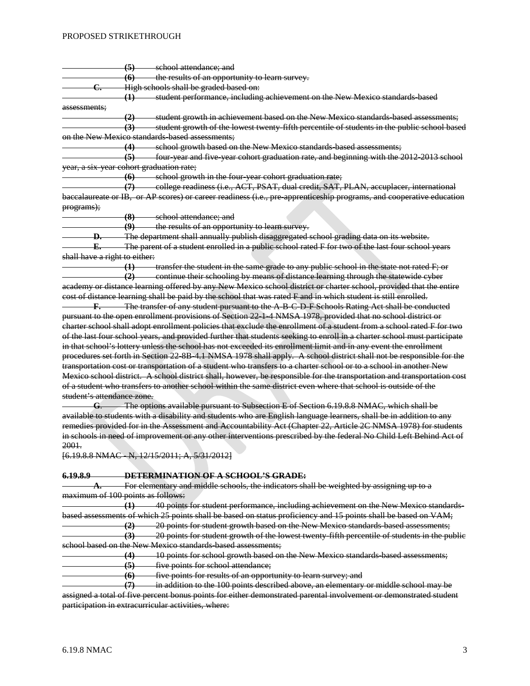#### PROPOSED STRIKETHROUGH

**(5)** school attendance; and **(6)** the results of an opportunity to learn survey. **C.** High schools shall be graded based on: **(1)** student performance, including achievement on the New Mexico standards-based assessments; **(2)** student growth in achievement based on the New Mexico standards-based assessments; **(3)** student growth of the lowest twenty-fifth percentile of students in the public school based on the New Mexico standards-based assessments:

**(4)** school growth based on the New Mexico standards-based assessments; **(5)** four-year and five-year cohort graduation rate, and beginning with the 2012-2013 school year, a six-year cohort graduation rate;

**(6)** school growth in the four-year cohort graduation rate;

**(7)** college readiness (i.e., ACT, PSAT, dual credit, SAT, PLAN, accuplacer, international baccalaureate or IB, or AP scores) or career readiness (i.e., pre-apprenticeship programs, and cooperative education programs);

**(8)** school attendance; and

**(9)** the results of an opportunity to learn survey.

**D.** The department shall annually publish disaggregated school grading data on its website.

**E.** The parent of a student enrolled in a public school rated F for two of the last four school years shall have a right to either:

**(1)** transfer the student in the same grade to any public school in the state not rated F; or

**(2)** continue their schooling by means of distance learning through the statewide cyber academy or distance learning offered by any New Mexico school district or charter school, provided that the entire cost of distance learning shall be paid by the school that was rated F and in which student is still enrolled.

**F.** The transfer of any student pursuant to the A-B-C-D-F-Schools Rating Act shall be conducted pursuant to the open enrollment provisions of Section 22-1-4 NMSA 1978, provided that no school district or charter school shall adopt enrollment policies that exclude the enrollment of a student from a school rated F for two of the last four school years, and provided further that students seeking to enroll in a charter school must participate in that school's lottery unless the school has not exceeded its enrollment limit and in any event the enrollment procedures set forth in Section 22-8B-4.1 NMSA 1978 shall apply. A school district shall not be responsible for the transportation cost or transportation of a student who transfers to a charter school or to a school in another New Mexico school district. A school district shall, however, be responsible for the transportation and transportation cost of a student who transfers to another school within the same district even where that school is outside of the student's attendance zone.

**G**. The options available pursuant to Subsection E of Section 6.19.8.8 NMAC, which shall be available to students with a disability and students who are English language learners, shall be in addition to any remedies provided for in the Assessment and Accountability Act (Chapter 22, Article 2C NMSA 1978) for students in schools in need of improvement or any other interventions prescribed by the federal No Child Left Behind Act of 2001.

[6.19.8.8 NMAC - N, 12/15/2011; A, 5/31/2012]

**6.19.8.9 DETERMINATION OF A SCHOOL'S GRADE:**

For elementary and middle schools, the indicators shall be weighted by assigning up to a maximum of 100 points as follows:

**(1)** 40 points for student performance, including achievement on the New Mexico standardsbased assessments of which 25 points shall be based on status proficiency and 15 points shall be based on VAM;

**(2)** 20 points for student growth based on the New Mexico standards-based assessments; **(3)** 20 points for student growth of the lowest twenty-fifth percentile of students in the public school based on the New Mexico standards-based assessments;

**(4)** 10 points for school growth based on the New Mexico standards-based assessments; **(5)** five points for school attendance;

**(6)** five points for results of an opportunity to learn survey; and

**(7)** in addition to the 100 points described above, an elementary or middle school may be assigned a total of five percent bonus points for either demonstrated parental involvement or demonstrated student participation in extracurricular activities, where: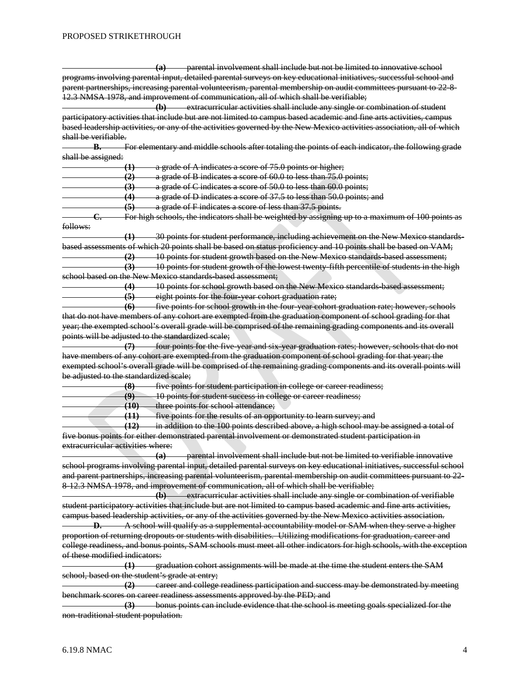**(a)** parental involvement shall include but not be limited to innovative school programs involving parental input, detailed parental surveys on key educational initiatives, successful school and parent partnerships, increasing parental volunteerism, parental membership on audit committees pursuant to 22-8- 12.3 NMSA 1978, and improvement of communication, all of which shall be verifiable; **(b)** extracurricular activities shall include any single or combination of student participatory activities that include but are not limited to campus based academic and fine arts activities, campus based leadership activities, or any of the activities governed by the New Mexico activities association, all of which shall be verifiable. **B.** For elementary and middle schools after totaling the points of each indicator, the following grade shall be assigned: **(1)** a grade of A indicates a score of 75.0 points or higher; **(2)** a grade of B indicates a score of 60.0 to less than 75.0 points; **(3)** a grade of C indicates a score of 50.0 to less than 60.0 points; **(4)** a grade of D indicates a score of 37.5 to less than 50.0 points; and **(5)** a grade of F indicates a score of less than 37.5 points. **C.** For high schools, the indicators shall be weighted by assigning up to a maximum of 100 points as follows: **(1)** 30 points for student performance, including achievement on the New Mexico standardsbased assessments of which 20 points shall be based on status proficiency and 10 points shall be based on VAM; **(2)** 10 points for student growth based on the New Mexico standards-based assessment; **(3)** 10 points for student growth of the lowest twenty-fifth percentile of students in the high school based on the New Mexico standards-based assessment; **(4)** 10 points for school growth based on the New Mexico standards-based assessment; **(5)** eight points for the four-year cohort graduation rate; **(6)** five points for school growth in the four-year cohort graduation rate; however, schools that do not have members of any cohort are exempted from the graduation component of school grading for that year; the exempted school's overall grade will be comprised of the remaining grading components and its overall points will be adjusted to the standardized scale; **(7)** four points for the five-year and six-year graduation rates; however, schools that do not have members of any cohort are exempted from the graduation component of school grading for that year; the exempted school's overall grade will be comprised of the remaining grading components and its overall points will be adjusted to the standardized scale; **(8)** five points for student participation in college or career readiness; **(9)** 10 points for student success in college or career readiness; **(10)** three points for school attendance; **(11)** five points for the results of an opportunity to learn survey; and **(12)** in addition to the 100 points described above, a high school may be assigned a total of five bonus points for either demonstrated parental involvement or demonstrated student participation in extracurricular activities where: **(a)** parental involvement shall include but not be limited to verifiable innovative school programs involving parental input, detailed parental surveys on key educational initiatives, successful school and parent partnerships, increasing parental volunteerism, parental membership on audit committees pursuant to 22- 8-12.3 NMSA 1978, and improvement of communication, all of which shall be verifiable; **(b)** extracurricular activities shall include any single or combination of verifiable student participatory activities that include but are not limited to campus based academic and fine arts activities, campus based leadership activities, or any of the activities governed by the New Mexico activities association. **D.** A school will qualify as a supplemental accountability model or SAM when they serve a higher proportion of returning dropouts or students with disabilities. Utilizing modifications for graduation, career and college readiness, and bonus points, SAM schools must meet all other indicators for high schools, with the exception of these modified indicators: **(1)** graduation cohort assignments will be made at the time the student enters the SAM school, based on the student's grade at entry; **(2)** career and college readiness participation and success may be demonstrated by meeting benchmark scores on career readiness assessments approved by the PED; and **(3)** bonus points can include evidence that the school is meeting goals specialized for the non-traditional student population.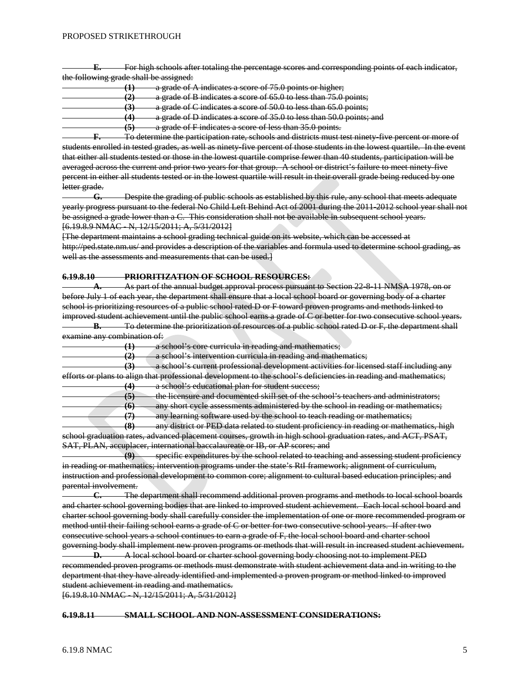**E.** For high schools after totaling the percentage scores and corresponding points of each indicator, the following grade shall be assigned:

**(1)** a grade of A indicates a score of 75.0 points or higher; **(2)** a grade of B indicates a score of 65.0 to less than 75.0 points; **(3)** a grade of C indicates a score of 50.0 to less than 65.0 points; **(4)** a grade of D indicates a score of 35.0 to less than 50.0 points; and **(5)** a grade of F indicates a score of less than 35.0 points.

**F.** To determine the participation rate, schools and districts must test ninety-five percent or more of students enrolled in tested grades, as well as ninety-five percent of those students in the lowest quartile. In the event that either all students tested or those in the lowest quartile comprise fewer than 40 students, participation will be averaged across the current and prior two years for that group. A school or district's failure to meet ninety-five percent in either all students tested or in the lowest quartile will result in their overall grade being reduced by one letter grade.

**G.** Despite the grading of public schools as established by this rule, any school that meets adequate yearly progress pursuant to the federal No Child Left Behind Act of 2001 during the 2011-2012 school year shall not be assigned a grade lower than a C. This consideration shall not be available in subsequent school years. [6.19.8.9 NMAC - N, 12/15/2011; A, 5/31/2012]

[The department maintains a school grading technical guide on its website, which can be accessed at <http://ped.state.nm.us/> and provides a description of the variables and formula used to determine school grading, as well as the assessments and measurements that can be used.]

## **6.19.8.10 PRIORITIZATION OF SCHOOL RESOURCES:**

**A.** As part of the annual budget approval process pursuant to Section 22-8-11 NMSA 1978, on or before July 1 of each year, the department shall ensure that a local school board or governing body of a charter school is prioritizing resources of a public school rated D or F toward proven programs and methods linked to improved student achievement until the public school earns a grade of C or better for two consecutive school years. **B.** To determine the prioritization of resources of a public school rated D or F, the department shall

examine any combination of:

**(1)** a school's core curricula in reading and mathematics;

**(2)** a school's intervention curricula in reading and mathematics;

**(3)** a school's current professional development activities for licensed staff including any efforts or plans to align that professional development to the school's deficiencies in reading and mathematics; **(4)** a school's educational plan for student success;

**(5)** the licensure and documented skill set of the school's teachers and administrators; any short cycle assessments administered by the school in reading or mathematics;

**(7)** any learning software used by the school to teach reading or mathematics;

**(8)** any district or PED data related to student proficiency in reading or mathematics, high school graduation rates, advanced placement courses, growth in high school graduation rates, and ACT, PSAT, SAT, PLAN, accuplacer, international baccalaureate or IB, or AP scores; and

**(9)** specific expenditures by the school related to teaching and assessing student proficiency in reading or mathematics; intervention programs under the state's RtI framework; alignment of curriculum, instruction and professional development to common core; alignment to cultural based education principles; and parental involvement.<br> **C.** The

**C.** The department shall recommend additional proven programs and methods to local school boards and charter school governing bodies that are linked to improved student achievement. Each local school board and charter school governing body shall carefully consider the implementation of one or more recommended program or method until their failing school earns a grade of C or better for two consecutive school years. If after two consecutive school years a school continues to earn a grade of F, the local school board and charter school governing body shall implement new proven programs or methods that will result in increased student achievement.

**D.** A local school board or charter school governing body choosing not to implement PED recommended proven programs or methods must demonstrate with student achievement data and in writing to the department that they have already identified and implemented a proven program or method linked to improved student achievement in reading and mathematics.

[6.19.8.10 NMAC - N, 12/15/2011; A, 5/31/2012]

#### **6.19.8.11 SMALL SCHOOL AND NON-ASSESSMENT CONSIDERATIONS:**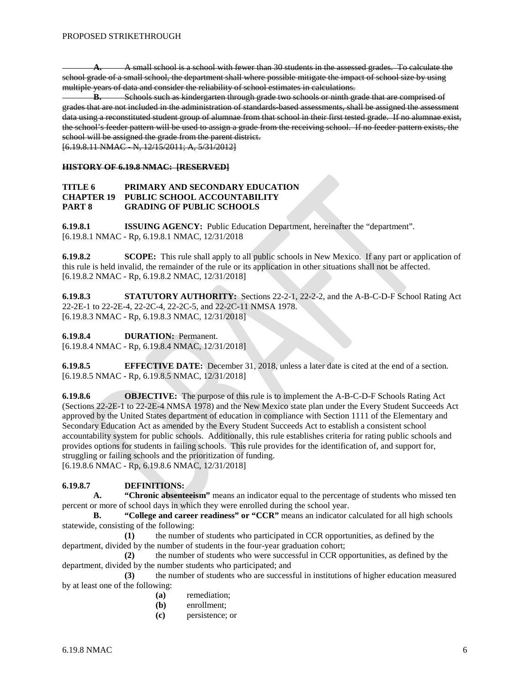**A.** A small school is a school with fewer than 30 students in the assessed grades. To calculate the school grade of a small school, the department shall where possible mitigate the impact of school size by using multiple years of data and consider the reliability of school estimates in calculations.

**B.** Schools such as kindergarten through grade two schools or ninth grade that are comprised of grades that are not included in the administration of standards-based assessments, shall be assigned the assessment data using a reconstituted student group of alumnae from that school in their first tested grade. If no alumnae exist, the school's feeder pattern will be used to assign a grade from the receiving school. If no feeder pattern exists, the school will be assigned the grade from the parent district.

[6.19.8.11 NMAC - N, 12/15/2011; A, 5/31/2012]

#### **HISTORY OF 6.19.8 NMAC: [RESERVED]**

## **TITLE 6 PRIMARY AND SECONDARY EDUCATION CHAPTER 19 PUBLIC SCHOOL ACCOUNTABILITY PART 8 GRADING OF PUBLIC SCHOOLS**

**6.19.8.1 ISSUING AGENCY:** Public Education Department, hereinafter the "department". [6.19.8.1 NMAC - Rp, 6.19.8.1 NMAC, 12/31/2018

**6.19.8.2 SCOPE:** This rule shall apply to all public schools in New Mexico. If any part or application of this rule is held invalid, the remainder of the rule or its application in other situations shall not be affected. [6.19.8.2 NMAC - Rp, 6.19.8.2 NMAC, 12/31/2018]

**6.19.8.3 STATUTORY AUTHORITY:** Sections 22-2-1, 22-2-2, and the A-B-C-D-F School Rating Act 22-2E-1 to 22-2E-4, 22-2C-4, 22-2C-5, and 22-2C-11 NMSA 1978. [6.19.8.3 NMAC - Rp, 6.19.8.3 NMAC, 12/31/2018]

**6.19.8.4 DURATION:** Permanent.

[6.19.8.4 NMAC - Rp, 6.19.8.4 NMAC, 12/31/2018]

**6.19.8.5 EFFECTIVE DATE:** December 31, 2018, unless a later date is cited at the end of a section. [6.19.8.5 NMAC - Rp, 6.19.8.5 NMAC, 12/31/2018]

**6.19.8.6 OBJECTIVE:** The purpose of this rule is to implement the A-B-C-D-F Schools Rating Act (Sections 22-2E-1 to 22-2E-4 NMSA 1978) and the New Mexico state plan under the Every Student Succeeds Act approved by the United States department of education in compliance with Section 1111 of the Elementary and Secondary Education Act as amended by the Every Student Succeeds Act to establish a consistent school accountability system for public schools. Additionally, this rule establishes criteria for rating public schools and provides options for students in failing schools. This rule provides for the identification of, and support for, struggling or failing schools and the prioritization of funding. [6.19.8.6 NMAC - Rp, 6.19.8.6 NMAC, 12/31/2018]

**6.19.8.7 DEFINITIONS:**

**A. "Chronic absenteeism"** means an indicator equal to the percentage of students who missed ten percent or more of school days in which they were enrolled during the school year.

**B. "College and career readiness" or "CCR"** means an indicator calculated for all high schools statewide, consisting of the following:

**(1)** the number of students who participated in CCR opportunities, as defined by the department, divided by the number of students in the four-year graduation cohort;

**(2)** the number of students who were successful in CCR opportunities, as defined by the department, divided by the number students who participated; and

**(3)** the number of students who are successful in institutions of higher education measured by at least one of the following:

- **(a)** remediation;
- **(b)** enrollment;
- **(c)** persistence; or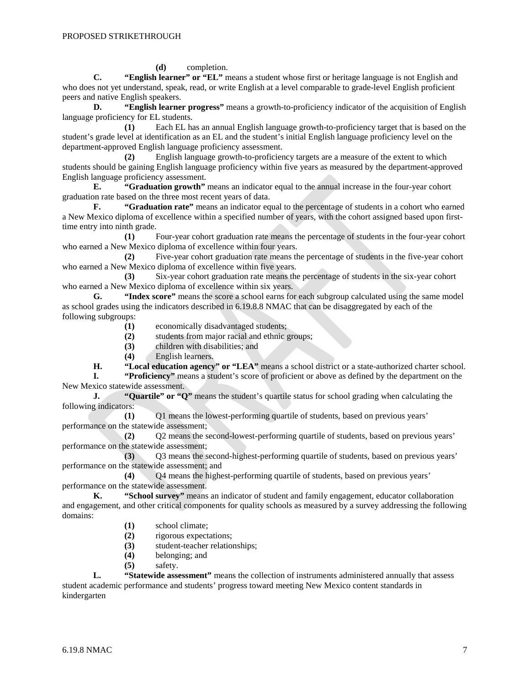**(d)** completion.

**C. "English learner" or "EL"** means a student whose first or heritage language is not English and who does not yet understand, speak, read, or write English at a level comparable to grade-level English proficient peers and native English speakers.

**D. "English learner progress"** means a growth-to-proficiency indicator of the acquisition of English language proficiency for EL students.

**(1)** Each EL has an annual English language growth-to-proficiency target that is based on the student's grade level at identification as an EL and the student's initial English language proficiency level on the department-approved English language proficiency assessment.

**(2)** English language growth-to-proficiency targets are a measure of the extent to which students should be gaining English language proficiency within five years as measured by the department-approved English language proficiency assessment.

**E. "Graduation growth"** means an indicator equal to the annual increase in the four-year cohort graduation rate based on the three most recent years of data.

**F. "Graduation rate"** means an indicator equal to the percentage of students in a cohort who earned a New Mexico diploma of excellence within a specified number of years, with the cohort assigned based upon firsttime entry into ninth grade.

**(1)** Four-year cohort graduation rate means the percentage of students in the four-year cohort who earned a New Mexico diploma of excellence within four years.

**(2)** Five-year cohort graduation rate means the percentage of students in the five-year cohort who earned a New Mexico diploma of excellence within five years.

**(3)** Six-year cohort graduation rate means the percentage of students in the six-year cohort who earned a New Mexico diploma of excellence within six years.

**G. "Index score"** means the score a school earns for each subgroup calculated using the same model as school grades using the indicators described in 6.19.8.8 NMAC that can be disaggregated by each of the following subgroups:

**(1)** economically disadvantaged students;

**(2)** students from major racial and ethnic groups;

**(3)** children with disabilities; and

**(4)** English learners.

**H. "Local education agency" or "LEA"** means a school district or a state-authorized charter school.

**I. "Proficiency"** means a student's score of proficient or above as defined by the department on the New Mexico statewide assessment.

**J. "Quartile" or "Q"** means the student's quartile status for school grading when calculating the following indicators:

**(1)** Q1 means the lowest-performing quartile of students, based on previous years' performance on the statewide assessment;

**(2)** Q2 means the second-lowest-performing quartile of students, based on previous years' performance on the statewide assessment;

**(3)** Q3 means the second-highest-performing quartile of students, based on previous years' performance on the statewide assessment; and

**(4)** Q4 means the highest-performing quartile of students, based on previous years' performance on the statewide assessment.<br> **K.** "School survey" means

**K. "School survey"** means an indicator of student and family engagement, educator collaboration and engagement, and other critical components for quality schools as measured by a survey addressing the following domains:

- **(1)** school climate;
- **(2)** rigorous expectations;
- **(3)** student-teacher relationships;
- **(4)** belonging; and
- **(5)** safety.

**L. "Statewide assessment"** means the collection of instruments administered annually that assess student academic performance and students' progress toward meeting New Mexico content standards in kindergarten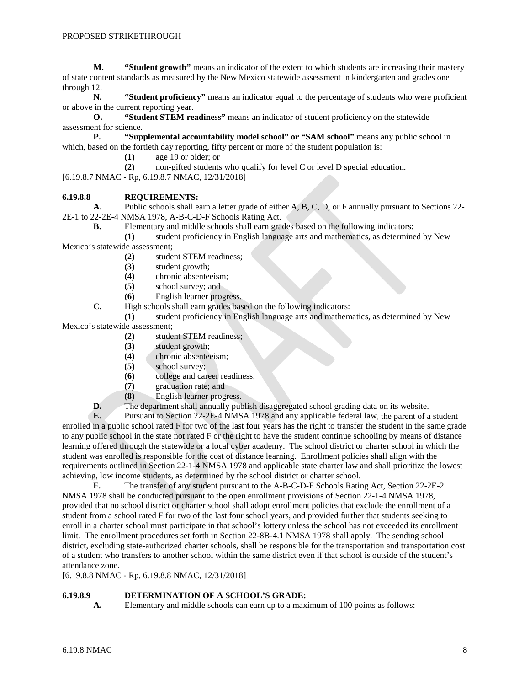**M. "Student growth"** means an indicator of the extent to which students are increasing their mastery of state content standards as measured by the New Mexico statewide assessment in kindergarten and grades one through 12.

**N. "Student proficiency"** means an indicator equal to the percentage of students who were proficient or above in the current reporting year.

**O. "Student STEM readiness"** means an indicator of student proficiency on the statewide assessment for science.

**P. "Supplemental accountability model school" or "SAM school"** means any public school in which, based on the fortieth day reporting, fifty percent or more of the student population is:

- **(1)** age 19 or older; or
- **(2)** non-gifted students who qualify for level C or level D special education.

[6.19.8.7 NMAC - Rp, 6.19.8.7 NMAC, 12/31/2018]

### **6.19.8.8 REQUIREMENTS:**

**A.** Public schools shall earn a letter grade of either A, B, C, D, or F annually pursuant to Sections 22- 2E-1 to 22-2E-4 NMSA 1978, A-B-C-D-F Schools Rating Act.

**B.** Elementary and middle schools shall earn grades based on the following indicators:

**(1)** student proficiency in English language arts and mathematics, as determined by New Mexico's statewide assessment;

- **(2)** student STEM readiness;
- **(3)** student growth;
- **(4)** chronic absenteeism;
- school survey; and
- **(6)** English learner progress.
- **C.** High schools shall earn grades based on the following indicators:

**(1)** student proficiency in English language arts and mathematics, as determined by New

Mexico's statewide assessment;

- **(2)** student STEM readiness;
- **(3)** student growth;
- **(4)** chronic absenteeism;
- **(5)** school survey;
- **(6)** college and career readiness;
- **(7)** graduation rate; and
- **(8)** English learner progress.
- **D.** The department shall annually publish disaggregated school grading data on its website.<br>**E.** Pursuant to Section 22-2E-4 NMSA 1978 and any applicable federal law, the parent of a

**E.** Pursuant to Section 22-2E-4 NMSA 1978 and any applicable federal law, the parent of a student enrolled in a public school rated F for two of the last four years has the right to transfer the student in the same grade to any public school in the state not rated F or the right to have the student continue schooling by means of distance learning offered through the statewide or a local cyber academy. The school district or charter school in which the student was enrolled is responsible for the cost of distance learning. Enrollment policies shall align with the requirements outlined in Section 22-1-4 NMSA 1978 and applicable state charter law and shall prioritize the lowest achieving, low income students, as determined by the school district or charter school.

**F.** The transfer of any student pursuant to the A-B-C-D-F Schools Rating Act, Section 22-2E-2 NMSA 1978 shall be conducted pursuant to the open enrollment provisions of Section 22-1-4 NMSA 1978, provided that no school district or charter school shall adopt enrollment policies that exclude the enrollment of a student from a school rated F for two of the last four school years, and provided further that students seeking to enroll in a charter school must participate in that school's lottery unless the school has not exceeded its enrollment limit. The enrollment procedures set forth in Section 22-8B-4.1 NMSA 1978 shall apply. The sending school district, excluding state-authorized charter schools, shall be responsible for the transportation and transportation cost of a student who transfers to another school within the same district even if that school is outside of the student's attendance zone.

[6.19.8.8 NMAC - Rp, 6.19.8.8 NMAC, 12/31/2018]

### **6.19.8.9 DETERMINATION OF A SCHOOL'S GRADE:**

**A.** Elementary and middle schools can earn up to a maximum of 100 points as follows: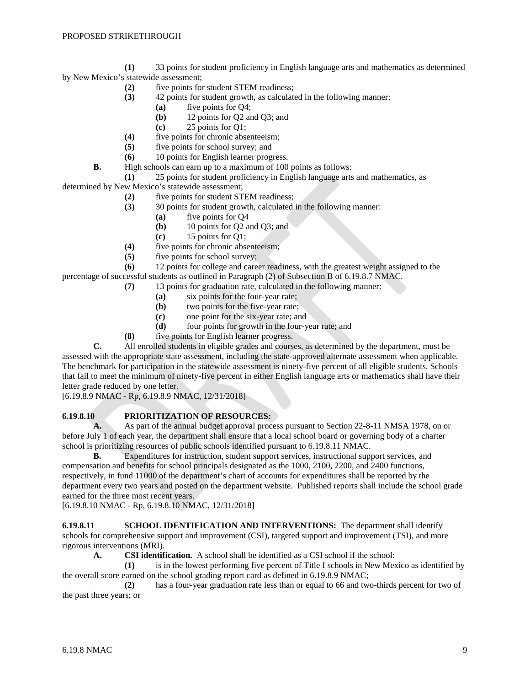**(1)** 33 points for student proficiency in English language arts and mathematics as determined by New Mexico's statewide assessment;

- **(2)** five points for student STEM readiness;
- **(3)** 42 points for student growth, as calculated in the following manner:
	- **(a)** five points for Q4;
		- **(b)** 12 points for Q2 and Q3; and
	- **(c)** 25 points for Q1;
- **(4)** five points for chronic absenteeism;
- **(5)** five points for school survey; and
- **(6)** 10 points for English learner progress.
- **B.** High schools can earn up to a maximum of 100 points as follows:

**(1)** 25 points for student proficiency in English language arts and mathematics, as determined by New Mexico's statewide assessment;

- **(2)** five points for student STEM readiness;
- **(3)** 30 points for student growth, calculated in the following manner:
	- **(a)** five points for Q4
	- **(b)** 10 points for Q2 and Q3; and
		- **(c)** 15 points for Q1;
- **(4)** five points for chronic absenteeism;
- **(5)** five points for school survey;

**(6)** 12 points for college and career readiness, with the greatest weight assigned to the percentage of successful students as outlined in Paragraph (2) of Subsection B of 6.19.8.7 NMAC.

- **(7)** 13 points for graduation rate, calculated in the following manner:
	- **(a)** six points for the four-year rate;
	- **(b)** two points for the five-year rate;
	- **(c)** one point for the six-year rate; and
	- **(d)** four points for growth in the four-year rate; and
- **(8)** five points for English learner progress.

**C.** All enrolled students in eligible grades and courses, as determined by the department, must be assessed with the appropriate state assessment, including the state-approved alternate assessment when applicable. The benchmark for participation in the statewide assessment is ninety-five percent of all eligible students. Schools that fail to meet the minimum of ninety-five percent in either English language arts or mathematics shall have their letter grade reduced by one letter.

[6.19.8.9 NMAC - Rp, 6.19.8.9 NMAC, 12/31/2018]

# **6.19.8.10 PRIORITIZATION OF RESOURCES:**

A. As part of the annual budget approval process pursuant to Section 22-8-11 NMSA 1978, on or before July 1 of each year, the department shall ensure that a local school board or governing body of a charter school is prioritizing resources of public schools identified pursuant to 6.19.8.11 NMAC.

**B.** Expenditures for instruction, student support services, instructional support services, and compensation and benefits for school principals designated as the 1000, 2100, 2200, and 2400 functions, respectively, in fund 11000 of the department's chart of accounts for expenditures shall be reported by the department every two years and posted on the department website. Published reports shall include the school grade earned for the three most recent years.

[6.19.8.10 NMAC - Rp, 6.19.8.10 NMAC, 12/31/2018]

**6.19.8.11 SCHOOL IDENTIFICATION AND INTERVENTIONS:** The department shall identify schools for comprehensive support and improvement (CSI), targeted support and improvement (TSI), and more rigorous interventions (MRI).

**A. CSI identification.** A school shall be identified as a CSI school if the school:

**(1)** is in the lowest performing five percent of Title I schools in New Mexico as identified by the overall score earned on the school grading report card as defined in 6.19.8.9 NMAC;

**(2)** has a four-year graduation rate less than or equal to 66 and two-thirds percent for two of the past three years; or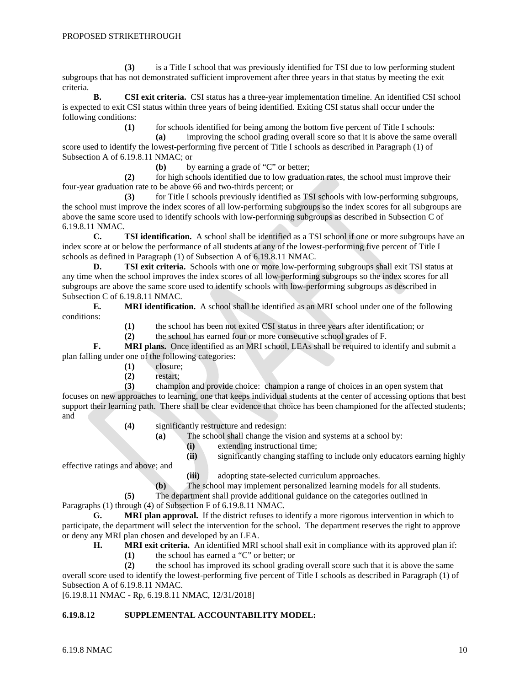**(3)** is a Title I school that was previously identified for TSI due to low performing student subgroups that has not demonstrated sufficient improvement after three years in that status by meeting the exit criteria.

**B. CSI exit criteria.** CSI status has a three-year implementation timeline. An identified CSI school is expected to exit CSI status within three years of being identified. Exiting CSI status shall occur under the following conditions:

**(1)** for schools identified for being among the bottom five percent of Title I schools:

**(a)** improving the school grading overall score so that it is above the same overall score used to identify the lowest-performing five percent of Title I schools as described in Paragraph (1) of Subsection A of 6.19.8.11 NMAC; or

**(b)** by earning a grade of "C" or better;

**(2)** for high schools identified due to low graduation rates, the school must improve their four-year graduation rate to be above 66 and two-thirds percent; or

**(3)** for Title I schools previously identified as TSI schools with low-performing subgroups, the school must improve the index scores of all low-performing subgroups so the index scores for all subgroups are above the same score used to identify schools with low-performing subgroups as described in Subsection C of 6.19.8.11 NMAC.

**C. TSI identification.** A school shall be identified as a TSI school if one or more subgroups have an index score at or below the performance of all students at any of the lowest-performing five percent of Title I schools as defined in Paragraph (1) of Subsection A of 6.19.8.11 NMAC.

**D. TSI exit criteria.** Schools with one or more low-performing subgroups shall exit TSI status at any time when the school improves the index scores of all low-performing subgroups so the index scores for all subgroups are above the same score used to identify schools with low-performing subgroups as described in Subsection C of 6.19.8.11 NMAC.

**E. MRI identification.** A school shall be identified as an MRI school under one of the following conditions:

**(1)** the school has been not exited CSI status in three years after identification; or

**(2)** the school has earned four or more consecutive school grades of F.

**F. MRI plans.** Once identified as an MRI school, LEAs shall be required to identify and submit a plan falling under one of the following categories:

- **(1)** closure;
- **(2)** restart;

**(3)** champion and provide choice: champion a range of choices in an open system that focuses on new approaches to learning, one that keeps individual students at the center of accessing options that best support their learning path. There shall be clear evidence that choice has been championed for the affected students; and

**(4)** significantly restructure and redesign:

- **(a)** The school shall change the vision and systems at a school by:
	- **(i)** extending instructional time;
	- **(ii)** significantly changing staffing to include only educators earning highly

effective ratings and above; and

- **(iii)** adopting state-selected curriculum approaches.
- **(b)** The school may implement personalized learning models for all students.

**(5)** The department shall provide additional guidance on the categories outlined in

Paragraphs (1) through (4) of Subsection F of 6.19.8.11 NMAC.

**G. MRI plan approval.** If the district refuses to identify a more rigorous intervention in which to participate, the department will select the intervention for the school. The department reserves the right to approve or deny any MRI plan chosen and developed by an LEA.

**H. MRI exit criteria.** An identified MRI school shall exit in compliance with its approved plan if:

**(1)** the school has earned a "C" or better; or

**(2)** the school has improved its school grading overall score such that it is above the same overall score used to identify the lowest-performing five percent of Title I schools as described in Paragraph (1) of Subsection A of 6.19.8.11 NMAC.

[6.19.8.11 NMAC - Rp, 6.19.8.11 NMAC, 12/31/2018]

### **6.19.8.12 SUPPLEMENTAL ACCOUNTABILITY MODEL:**

6.19.8 NMAC  $10$